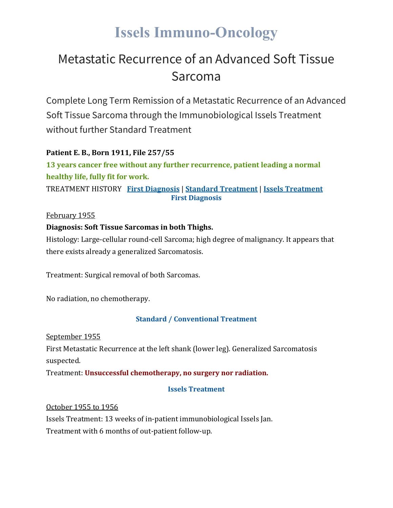# **Issels Immuno-Oncology**

### Metastatic Recurrence of an Advanced Soft Tissue Sarcoma

Complete Long Term Remission of a Metastatic Recurrence of an Advanced Soft Tissue Sarcoma through the Immunobiological Issels Treatment without further Standard Treatment

#### **Patient E. B., Born 1911, File 257/55**

**13 years cancer free without any further recurrence, patient leading a normal healthy life, fully fit for work.**

TREATMENT HISTORY **First [Diagnosis](https://issels.com/cancer-cases/sarcoma-5-metastatic-recurrence-of-advanced-soft-tissue-sarcoma/#First)** | **Standard [Treatment](https://issels.com/cancer-cases/sarcoma-5-metastatic-recurrence-of-advanced-soft-tissue-sarcoma/#Standard)** | **Issels [Treatment](https://issels.com/cancer-cases/sarcoma-5-metastatic-recurrence-of-advanced-soft-tissue-sarcoma/#Issels) First Diagnosis**

February 1955

#### **Diagnosis: Soft Tissue Sarcomas in both Thighs.**

Histology: Large-cellular round-cell Sarcoma; high degree of malignancy. It appears that there exists already a generalized Sarcomatosis.

Treatment: Surgical removal of both Sarcomas.

No radiation, no chemotherapy.

#### **Standard / Conventional Treatment**

September 1955

First Metastatic Recurrence at the left shank (lower leg). Generalized Sarcomatosis suspected.

Treatment: **Unsuccessful chemotherapy, no surgery nor radiation.**

#### **Issels Treatment**

October 1955 to 1956

Issels Treatment: 13 weeks of in-patient immunobiological Issels Jan.

Treatment with 6 months of out-patient follow-up.